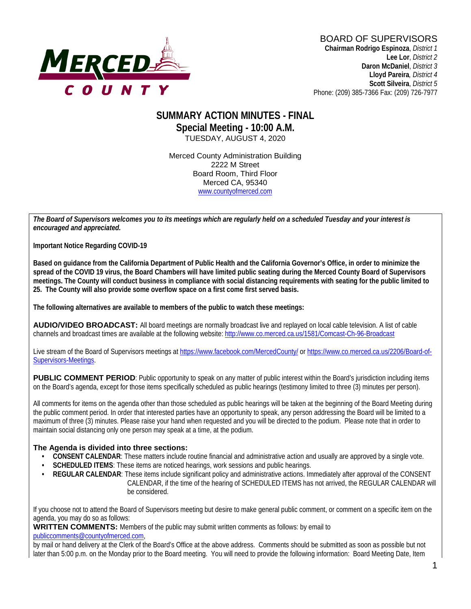

#### **SUMMARY ACTION MINUTES - FINAL Special Meeting - 10:00 A.M.** TUESDAY, AUGUST 4, 2020

Merced County Administration Building 2222 M Street Board Room, Third Floor Merced CA, 95340 www.countyofmerced.com

*The Board of Supervisors welcomes you to its meetings which are regularly held on a scheduled Tuesday and your interest is encouraged and appreciated.*

**Important Notice Regarding COVID-19**

**Based on guidance from the California Department of Public Health and the California Governor's Office, in order to minimize the spread of the COVID 19 virus, the Board Chambers will have limited public seating during the Merced County Board of Supervisors meetings. The County will conduct business in compliance with social distancing requirements with seating for the public limited to 25. The County will also provide some overflow space on a first come first served basis.**

**The following alternatives are available to members of the public to watch these meetings:**

**AUDIO/VIDEO BROADCAST:** All board meetings are normally broadcast live and replayed on local cable television. A list of cable channels and broadcast times are available at the following website[: http://www.co.merced.ca.us/1581/Comcast-Ch-96-Broadcast](http://www.co.merced.ca.us/1581/Comcast-Ch-96-Broadcast)

Live stream of the Board of Supervisors meetings at<https://www.facebook.com/MercedCounty/> o[r https://www.co.merced.ca.us/2206/Board-of-](https://www.co.merced.ca.us/2206/Board-of-Supervisors-Meetings)[Supervisors-Meetings.](https://www.co.merced.ca.us/2206/Board-of-Supervisors-Meetings)

**PUBLIC COMMENT PERIOD:** Public opportunity to speak on any matter of public interest within the Board's iurisdiction including items on the Board's agenda, except for those items specifically scheduled as public hearings (testimony limited to three (3) minutes per person).

All comments for items on the agenda other than those scheduled as public hearings will be taken at the beginning of the Board Meeting during the public comment period. In order that interested parties have an opportunity to speak, any person addressing the Board will be limited to a maximum of three (3) minutes. Please raise your hand when requested and you will be directed to the podium. Please note that in order to maintain social distancing only one person may speak at a time, at the podium.

#### **The Agenda is divided into three sections:**

- **CONSENT CALENDAR**: These matters include routine financial and administrative action and usually are approved by a single vote.
- **SCHEDULED ITEMS:** These items are noticed hearings, work sessions and public hearings.
- **REGULAR CALENDAR**: These items include significant policy and administrative actions. Immediately after approval of the CONSENT CALENDAR, if the time of the hearing of SCHEDULED ITEMS has not arrived, the REGULAR CALENDAR will be considered.

If you choose not to attend the Board of Supervisors meeting but desire to make general public comment, or comment on a specific item on the agenda, you may do so as follows:

**WRITTEN COMMENTS:** Members of the public may submit written comments as follows: by email to

[publiccomments@countyofmerced.com,](mailto:publiccomments@countyofmerced.com)

by mail or hand delivery at the Clerk of the Board's Office at the above address. Comments should be submitted as soon as possible but not later than 5:00 p.m. on the Monday prior to the Board meeting. You will need to provide the following information: Board Meeting Date, Item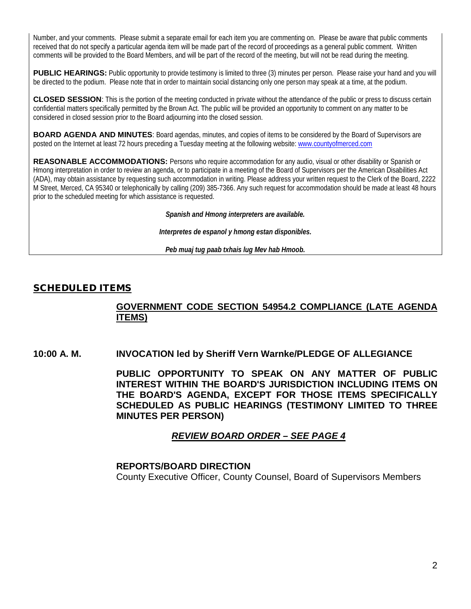Number, and your comments. Please submit a separate email for each item you are commenting on. Please be aware that public comments received that do not specify a particular agenda item will be made part of the record of proceedings as a general public comment. Written comments will be provided to the Board Members, and will be part of the record of the meeting, but will not be read during the meeting.

**PUBLIC HEARINGS:** Public opportunity to provide testimony is limited to three (3) minutes per person. Please raise your hand and you will be directed to the podium. Please note that in order to maintain social distancing only one person may speak at a time, at the podium.

**CLOSED SESSION**: This is the portion of the meeting conducted in private without the attendance of the public or press to discuss certain confidential matters specifically permitted by the Brown Act. The public will be provided an opportunity to comment on any matter to be considered in closed session prior to the Board adjourning into the closed session.

**BOARD AGENDA AND MINUTES:** Board agendas, minutes, and copies of items to be considered by the Board of Supervisors are posted on the Internet at least 72 hours preceding a Tuesday meeting at the following website: [www.countyofmerced.com](http://www.countyofmerced.com/) 

**REASONABLE ACCOMMODATIONS:** Persons who require accommodation for any audio, visual or other disability or Spanish or Hmong interpretation in order to review an agenda, or to participate in a meeting of the Board of Supervisors per the American Disabilities Act (ADA), may obtain assistance by requesting such accommodation in writing. Please address your written request to the Clerk of the Board, 2222 M Street, Merced, CA 95340 or telephonically by calling (209) 385-7366. Any such request for accommodation should be made at least 48 hours prior to the scheduled meeting for which assistance is requested.

*Spanish and Hmong interpreters are available.*

*Interpretes de espanol y hmong estan disponibles.*

*Peb muaj tug paab txhais lug Mev hab Hmoob.* 

#### SCHEDULED ITEMS

### **GOVERNMENT CODE SECTION 54954.2 COMPLIANCE (LATE AGENDA ITEMS)**

**10:00 A. M. INVOCATION led by Sheriff Vern Warnke/PLEDGE OF ALLEGIANCE**

**PUBLIC OPPORTUNITY TO SPEAK ON ANY MATTER OF PUBLIC INTEREST WITHIN THE BOARD'S JURISDICTION INCLUDING ITEMS ON THE BOARD'S AGENDA, EXCEPT FOR THOSE ITEMS SPECIFICALLY SCHEDULED AS PUBLIC HEARINGS (TESTIMONY LIMITED TO THREE MINUTES PER PERSON)**

# *REVIEW BOARD ORDER – SEE PAGE 4*

#### **REPORTS/BOARD DIRECTION**

County Executive Officer, County Counsel, Board of Supervisors Members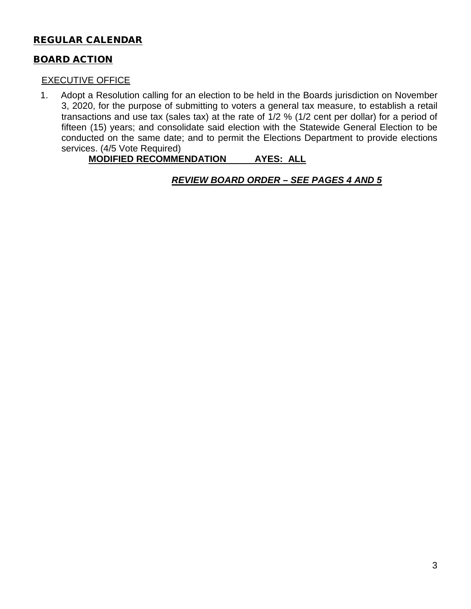# REGULAR CALENDAR

# BOARD ACTION

### EXECUTIVE OFFICE

1. Adopt a Resolution calling for an election to be held in the Boards jurisdiction on November 3, 2020, for the purpose of submitting to voters a general tax measure, to establish a retail transactions and use tax (sales tax) at the rate of 1/2 % (1/2 cent per dollar) for a period of fifteen (15) years; and consolidate said election with the Statewide General Election to be conducted on the same date; and to permit the Elections Department to provide elections services. (4/5 Vote Required)

# **MODIFIED RECOMMENDATION AYES: ALL**

*REVIEW BOARD ORDER – SEE PAGES 4 AND 5*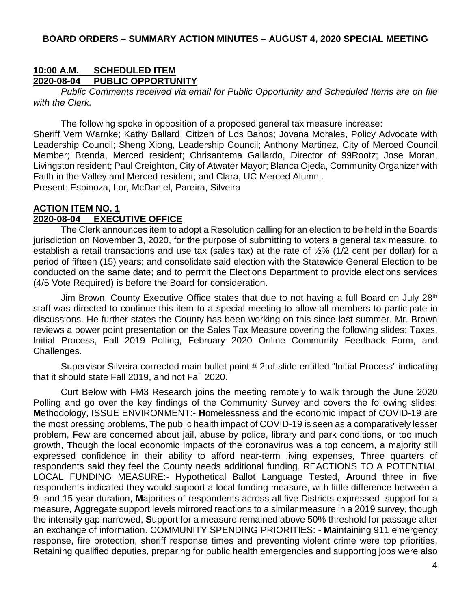#### **BOARD ORDERS – SUMMARY ACTION MINUTES – AUGUST 4, 2020 SPECIAL MEETING**

### **10:00 A.M. SCHEDULED ITEM 2020-08-04 PUBLIC OPPORTUNITY**

*Public Comments received via email for Public Opportunity and Scheduled Items are on file with the Clerk.*

The following spoke in opposition of a proposed general tax measure increase:

Sheriff Vern Warnke; Kathy Ballard, Citizen of Los Banos; Jovana Morales, Policy Advocate with Leadership Council; Sheng Xiong, Leadership Council; Anthony Martinez, City of Merced Council Member; Brenda, Merced resident; Chrisantema Gallardo, Director of 99Rootz; Jose Moran, Livingston resident; Paul Creighton, City of Atwater Mayor; Blanca Ojeda, Community Organizer with Faith in the Valley and Merced resident; and Clara, UC Merced Alumni.

Present: Espinoza, Lor, McDaniel, Pareira, Silveira

#### **ACTION ITEM NO. 1 2020-08-04 EXECUTIVE OFFICE**

The Clerk announces item to adopt a Resolution calling for an election to be held in the Boards jurisdiction on November 3, 2020, for the purpose of submitting to voters a general tax measure, to establish a retail transactions and use tax (sales tax) at the rate of ½% (1/2 cent per dollar) for a period of fifteen (15) years; and consolidate said election with the Statewide General Election to be conducted on the same date; and to permit the Elections Department to provide elections services (4/5 Vote Required) is before the Board for consideration.

Jim Brown, County Executive Office states that due to not having a full Board on July 28<sup>th</sup> staff was directed to continue this item to a special meeting to allow all members to participate in discussions. He further states the County has been working on this since last summer. Mr. Brown reviews a power point presentation on the Sales Tax Measure covering the following slides: Taxes, Initial Process, Fall 2019 Polling, February 2020 Online Community Feedback Form, and Challenges.

Supervisor Silveira corrected main bullet point # 2 of slide entitled "Initial Process" indicating that it should state Fall 2019, and not Fall 2020.

Curt Below with FM3 Research joins the meeting remotely to walk through the June 2020 Polling and go over the key findings of the Community Survey and covers the following slides: **M**ethodology, ISSUE ENVIRONMENT:- **H**omelessness and the economic impact of COVID-19 are the most pressing problems, **T**he public health impact of COVID-19 is seen as a comparatively lesser problem, **F**ew are concerned about jail, abuse by police, library and park conditions, or too much growth, **T**hough the local economic impacts of the coronavirus was a top concern, a majority still expressed confidence in their ability to afford near-term living expenses, **T**hree quarters of respondents said they feel the County needs additional funding. REACTIONS TO A POTENTIAL LOCAL FUNDING MEASURE:- **H**ypothetical Ballot Language Tested, **A**round three in five respondents indicated they would support a local funding measure, with little difference between a 9- and 15-year duration, **M**ajorities of respondents across all five Districts expressed support for a measure, **A**ggregate support levels mirrored reactions to a similar measure in a 2019 survey, though the intensity gap narrowed, **S**upport for a measure remained above 50% threshold for passage after an exchange of information. COMMUNITY SPENDING PRIORITIES: - **M**aintaining 911 emergency response, fire protection, sheriff response times and preventing violent crime were top priorities, **R**etaining qualified deputies, preparing for public health emergencies and supporting jobs were also